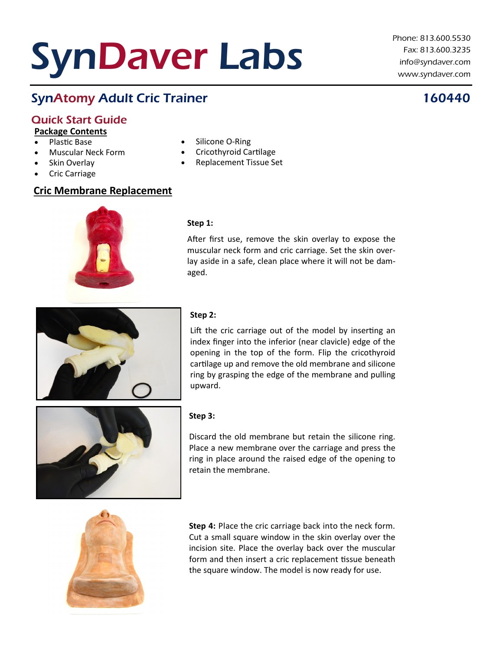# SynDaver Labs

Phone: 813.600.5530 Fax: 813.600.3235 info@syndaver.com www.syndaver.com

# SynAtomy Adult Cric Trainer 160440

## Quick Start Guide

**Package Contents**

- Plastic Base
- Muscular Neck Form
- Skin Overlay
- Cric Carriage

#### **Cric Membrane Replacement**

### Silicone O-Ring

- Cricothyroid Cartilage
- Replacement Tissue Set
- 

#### **Step 1:**

After first use, remove the skin overlay to expose the muscular neck form and cric carriage. Set the skin overlay aside in a safe, clean place where it will not be damaged.



#### **Step 2:**

Lift the cric carriage out of the model by inserting an index finger into the inferior (near clavicle) edge of the opening in the top of the form. Flip the cricothyroid cartilage up and remove the old membrane and silicone ring by grasping the edge of the membrane and pulling upward.



#### **Step 3:**

Discard the old membrane but retain the silicone ring. Place a new membrane over the carriage and press the ring in place around the raised edge of the opening to retain the membrane.



**Step 4:** Place the cric carriage back into the neck form. Cut a small square window in the skin overlay over the incision site. Place the overlay back over the muscular form and then insert a cric replacement tissue beneath the square window. The model is now ready for use.